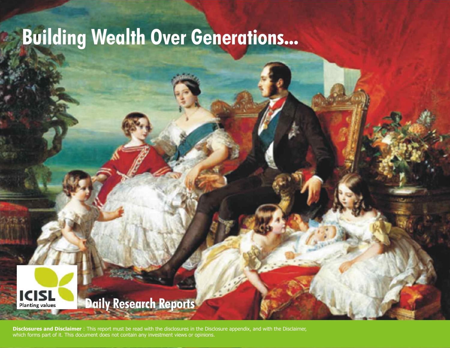## **Building Wealth Over Generations...**



## **Daily Research Reports**

**Disclosures and Disclaimer** : This report must be read with the disclosures in the Disclosure appendix, and with the Disclaimer, which forms part of it. This document does not contain any investment views or opinions.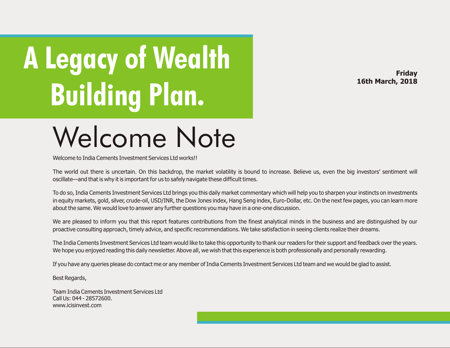# **A Legacy of Wealth Building Plan.**

**Friday 16th March, 2018**

## Welcome Note

Welcome to India Cements Investment Services Ltd works!

The world out there is uncertain. On this backdrop, the market volatility is bound to increase. Believe us, even the big investors' sentiment will oscillate—and that is why it is important for us to safely navigate these difficult times.

To do so, India Cements Investment Services Ltd brings you this daily market commentary which will help you to sharpen your instincts on investments in equity markets, gold, silver, crude-oil, USD/INR, the Dow Jones index, Hang Seng index, Euro-Dollar, etc. On the next few pages, you can learn more about the same. We would love to answer any further questions you may have in a one-one discussion.

We are pleased to inform you that this report features contributions from the finest analytical minds in the business and are distinguished by our proactive consulting approach, timely advice, and specific recommendations. We take satisfaction in seeing clients realize their dreams.

The India Cements Investment Services Ltd team would like to take this opportunity to thank our readers for their support and feedback over the years. We hope you enjoyed reading this daily newsletter. Above all, we wish that this experience is both professionally and personally rewarding.

If you have any queries please do contact me or any member of India Cements Investment Services Ltd team and we would be glad to assist.

Best Regards,

Team India Cements Investment Services Ltd Call Us: 044 - 28572600. www.icisinvest.com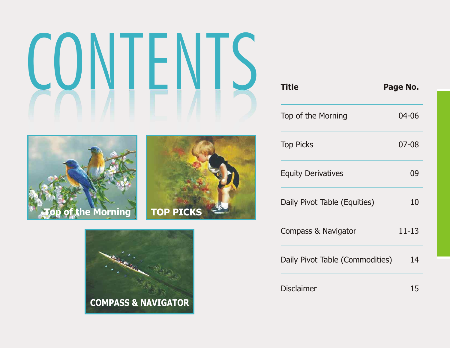

| <b>Title</b>                    | Page No.  |
|---------------------------------|-----------|
| Top of the Morning              | 04-06     |
| <b>Top Picks</b>                | 07-08     |
| <b>Equity Derivatives</b>       | 09        |
| Daily Pivot Table (Equities)    | 10        |
| Compass & Navigator             | $11 - 13$ |
| Daily Pivot Table (Commodities) | 14        |
| <b>Disclaimer</b>               | 15        |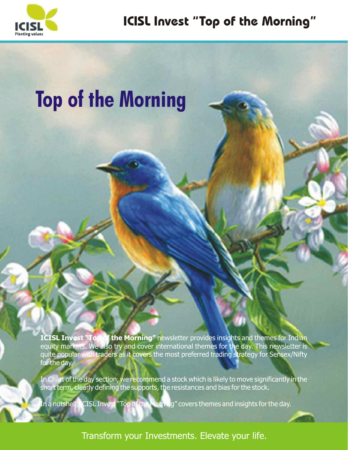

## **Top of the Morning**

**ICISL Invest "Top of the Morning"** newsletter provides insights and themes for Indian equity markets. We also try and cover international themes for the day. This newsletter is quite popular with traders as it covers the most preferred trading strategy for Sensex/Nifty for the day.

In Chart of the day section, we recommend a stock which is likely to move significantly in the short term, clearly defining the supports, the resistances and bias for the stock.

In a nutshell, ICISL Invest "Top of the Morning" covers themes and insights for the day.

Transform your Investments. Elevate your life.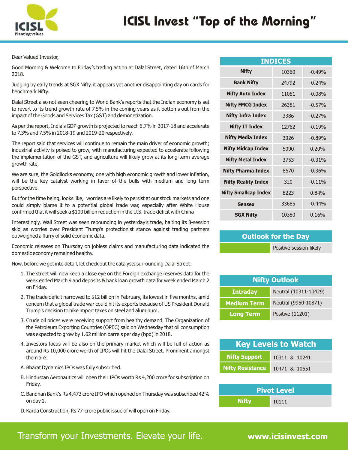

Dear Valued Investor,

Good Morning & Welcome to Friday's trading action at Dalal Street, dated 16th of March 2018.

Judging by early trends at SGX Nifty, it appears yet another disappointing day on cards for benchmark Nifty.

Dalal Street also not seen cheering to World Bank's reports that the Indian economy is set to revert to its trend growth rate of 7.5% in the coming years as it bottoms out from the impact of the Goods and Services Tax (GST) and demonetization.

As per the report, India's GDP growth is projected to reach 6.7% in 2017-18 and accelerate to 7.3% and 7.5% in 2018-19 and 2019-20 respectively.

The report said that services will continue to remain the main driver of economic growth; industrial activity is poised to grow, with manufacturing expected to accelerate following the implementation of the GST, and agriculture will likely grow at its long-term average growth rate,

We are sure, the Goldilocks economy, one with high economic growth and lower inflation, will be the key catalyst working in favor of the bulls with medium and long term perspective.

But for the time being, looks like, worries are likely to persist at our stock markets and one could simply blame it to a potential global trade war, especially after White House confirmed that it will seek a \$100 billion reduction in the U.S. trade deficit with China

Interestingly, Wall Street was seen rebounding in yesterday's trade, halting its 3-session skid as worries over President Trump's protectionist stance against trading partners outweighed a flurry of solid economic data.

Economic releases on Thursday on jobless claims and manufacturing data indicated the domestic economy remained healthy.

Now, before we get into detail, let check out the catalysts surrounding Dalal Street:

- 1. The street will now keep a close eye on the Foreign exchange reserves data for the week ended March 9 and deposits & bank loan growth data for week ended March 2 on Friday.
- 2. The trade deficit narrowed to \$12 billion in February, its lowest in five months, amid concern that a global trade war could hit its exports because of US President Donald Trump's decision to hike import taxes on steel and aluminum.
- 3. Crude oil prices were receiving support from healthy demand. The Organization of the Petroleum Exporting Countries (OPEC) said on Wednesday that oil consumption was expected to grow by 1.62 million barrels per day (bpd) in 2018.
- 4. Investors focus will be also on the primary market which will be full of action as around Rs 10,000 crore worth of IPOs will hit the Dalal Street. Prominent amongst them are:
- A. Bharat Dynamics IPOs was fully subscribed.
- B. Hindustan Aeronautics will open their IPOs worth Rs 4,200 crore for subscription on Friday.
- C. Bandhan Bank's Rs 4,473 crore IPO which opened on Thursday was subscribed 42% on day 1.
- D.Karda Construction, Rs 77-crore public issue of will open on Friday.

| <b>INDICES</b>              |       |          |  |  |  |  |  |
|-----------------------------|-------|----------|--|--|--|--|--|
| <b>Nifty</b>                | 10360 | $-0.49%$ |  |  |  |  |  |
| <b>Bank Nifty</b>           | 24792 | $-0.24%$ |  |  |  |  |  |
| <b>Nifty Auto Index</b>     | 11051 | $-0.08%$ |  |  |  |  |  |
| <b>Nifty FMCG Index</b>     | 26381 | $-0.57%$ |  |  |  |  |  |
| <b>Nifty Infra Index</b>    | 3386  | $-0.27%$ |  |  |  |  |  |
| <b>Nifty IT Index</b>       | 12762 | $-0.19%$ |  |  |  |  |  |
| <b>Nifty Media Index</b>    | 3326  | $-0.89%$ |  |  |  |  |  |
| <b>Nifty Midcap Index</b>   | 5090  | 0.20%    |  |  |  |  |  |
| <b>Nifty Metal Index</b>    | 3753  | $-0.31%$ |  |  |  |  |  |
| <b>Nifty Pharma Index</b>   | 8670  | $-0.36%$ |  |  |  |  |  |
| <b>Nifty Reality Index</b>  | 320   | $-0.11%$ |  |  |  |  |  |
| <b>Nifty Smallcap Index</b> | 8223  | 0.84%    |  |  |  |  |  |
| <b>Sensex</b>               | 33685 | $-0.44%$ |  |  |  |  |  |
| <b>SGX Nifty</b>            | 10380 | 0.16%    |  |  |  |  |  |

#### **Outlook for the Day**

Positive session likely

| <b>Nifty Outlook</b> |                       |  |  |  |
|----------------------|-----------------------|--|--|--|
| <b>Intraday</b>      | Neutral (10311-10429) |  |  |  |
| <b>Medium Term</b>   | Neutral (9950-10871)  |  |  |  |
| <b>Long Term</b>     | Positive (11201)      |  |  |  |

| <b>Key Levels to Watch</b> |               |  |  |  |
|----------------------------|---------------|--|--|--|
| <b>Nifty Support</b>       | 10311 & 10241 |  |  |  |
| <b>Nifty Resistance</b>    | 10471 & 10551 |  |  |  |

| <b>Pivot Level</b> |       |  |  |  |
|--------------------|-------|--|--|--|
| <b>Nifty</b>       | 10111 |  |  |  |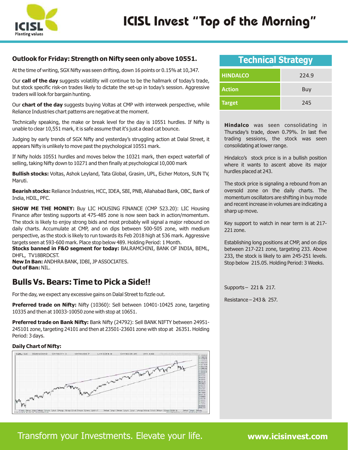

#### **Outlook for Friday: Strength on Nifty seen only above 10551.**

At the time of writing, SGX Nifty was seen drifting, down 16 points or 0.15% at 10,347.

Our **call of the day** suggests volatility will continue to be the hallmark of today's trade, but stock specific risk-on trades likely to dictate the set-up in today's session. Aggressive traders will look for bargain hunting.

Our **chart of the day** suggests buying Voltas at CMP with interweek perspective, while Reliance Industries chart patterns are negative at the moment.

Technically speaking, the make or break level for the day is 10551 hurdles. If Nifty is unable to clear 10,551 mark, it is safe assume that it's just a dead cat bounce.

Judging by early trends of SGX Nifty and yesterday's struggling action at Dalal Street, it appears Nifty is unlikely to move past the psychological 10551 mark.

If Nifty holds 10551 hurdles and moves below the 10321 mark, then expect waterfall of selling, taking Nifty down to 10271 and then finally at psychological 10,000 mark

**Bullish stocks:** Voltas, Ashok Leyland, Tata Global, Grasim, UPL, Eicher Motors, SUN TV, Maruti.

**Bearish stocks:** Reliance Industries, HCC, IDEA, SBI, PNB, Allahabad Bank, OBC, Bank of India, HDIL, PFC.

**SHOW ME THE MONEY:** Buy LIC HOUSING FINANCE (CMP 523.20): LIC Housing Finance after testing supports at 475-485 zone is now seen back in action/momentum. The stock is likely to enjoy strong bids and most probably will signal a major rebound on daily charts. Accumulate at CMP, and on dips between 500-505 zone, with medium perspective, as the stock is likely to run towards its Feb 2018 high at 536 mark. Aggressive targets seen at 593-600 mark. Place stop below 489. Holding Period: 1 Month.

**Stocks banned in F&O segment for today:** BALRAMCHINI, BANK OF INDIA, BEML, DHFL, TV18BRDCST.

**New In Ban:** ANDHRA BANK, IDBI, JP ASSOCIATES. **Out of Ban:** NIL.

### **Bulls Vs. Bears: Time to Pick a Side!!**

For the day, we expect any excessive gains on Dalal Street to fizzle out.

**Preferred trade on Nifty:** Nifty (10360): Sell between 10401-10425 zone, targeting 10335 and then at 10033-10050 zone with stop at 10651.

**Preferred trade on Bank Nifty:** Bank Nifty (24792): Sell BANK NIFTY between 24951- 245101 zone, targeting 24101 and then at 23501-23601 zone with stop at 26351. Holding Period: 3 days.

#### **Daily Chart of Nifty:**



### **Technical Strategy**

| <b>HINDALCO</b> | 224.9 |
|-----------------|-------|
| <b>Action</b>   | Buy   |
| <b>Target</b>   | 245   |

**Hindalco** was seen consolidating in Thursday's trade, down 0.79%. In last five trading sessions, the stock was seen consolidating at lower range.

Hindalco's stock price is in a bullish position where it wants to ascent above its major hurdles placed at 243.

The stock price is signaling a rebound from an oversold zone on the daily charts. The momentum oscillators are shifting in buy mode and recent increase in volumes are indicating a sharp up move.

Key support to watch in near term is at 217- 221 zone.

Establishing long positions at CMP, and on dips between 217-221 zone, targeting 233. Above 233, the stock is likely to aim 245-251 levels. Stop below 215.05. Holding Period: 3 Weeks.

Supports – 221 & 217.

Resistance – 243 & 257.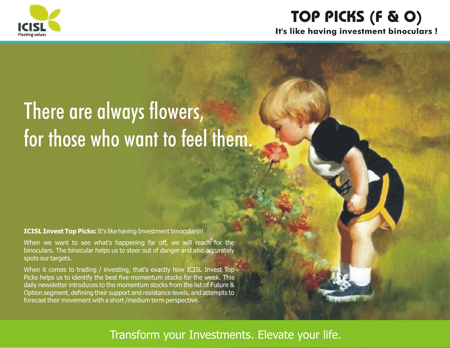

## **TOP PICKS (F & O) It's like having investment binoculars !**

## There are always flowers, for those who want to feel them.

**ICISL Invest Top Picks:** It's like having Investment binoculars!!

When we want to see what's happening far off, we will reach for the binoculars. The binocular helps us to steer out of danger and also accurately spots our targets.

When it comes to trading / investing, that's exactly how ICISL Invest Top Picks helps us to identify the best five momentum stocks for the week. This daily newsletter introduces to the momentum stocks from the list of Future & Option segment, defining their support and resistance levels, and attempts to forecast their movement with a short /medium term perspective.

### Transform your Investments. Elevate your life.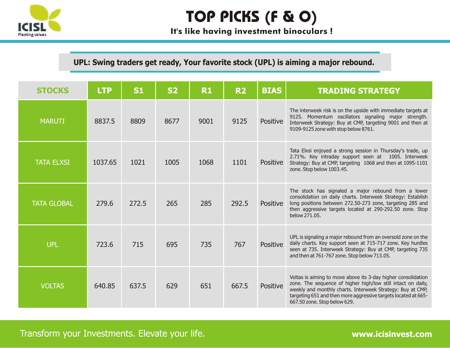

## **TOP PICKS (F & O)**

**It's like having investment binoculars !**

**UPL: Swing traders get ready, Your favorite stock (UPL) is aiming a major rebound.**

| <b>STOCKS</b>      | <b>LTP</b> | S1    | <b>S2</b> | <b>R1</b> | <b>R2</b> | <b>BIAS</b>     | <b>TRADING STRATEGY</b>                                                                                                                                                                                                                                                                       |
|--------------------|------------|-------|-----------|-----------|-----------|-----------------|-----------------------------------------------------------------------------------------------------------------------------------------------------------------------------------------------------------------------------------------------------------------------------------------------|
| <b>MARUTI</b>      | 8837.5     | 8809  | 8677      | 9001      | 9125      | <b>Positive</b> | The interweek risk is on the upside with immediate targets at<br>9125. Momentum oscillators signaling major strength.<br>Interweek Strategy: Buy at CMP, targeting 9001 and then at<br>9109-9125 zone with stop below 8761.                                                                   |
| <b>TATA ELXSI</b>  | 1037.65    | 1021  | 1005      | 1068      | 1101      | <b>Positive</b> | Tata Elxsi enjoyed a strong session in Thursday's trade, up<br>2.71%. Key intraday support seen at 1005. Interweek<br>Strategy: Buy at CMP, targeting 1068 and then at 1095-1101<br>zone. Stop below 1003.45.                                                                                 |
| <b>TATA GLOBAL</b> | 279.6      | 272.5 | 265       | 285       | 292.5     | <b>Positive</b> | The stock has signaled a major rebound from a lower<br>consolidation on daily charts. Interweek Strategy: Establish<br>long positions between 272.50-273 zone, targeting 285 and<br>then aggressive targets located at 290-292.50 zone. Stop<br>below 271.05.                                 |
| <b>UPL</b>         | 723.6      | 715   | 695       | 735       | 767       | Positive        | UPL is signaling a major rebound from an oversold zone on the<br>daily charts. Key support seen at 715-717 zone. Key hurdles<br>seen at 735. Interweek Strategy: Buy at CMP, targeting 735<br>and then at 761-767 zone. Stop below 713.05.                                                    |
| <b>VOLTAS</b>      | 640.85     | 637.5 | 629       | 651       | 667.5     | Positive        | Voltas is aiming to move above its 3-day higher consolidation<br>zone. The sequence of higher high/low still intact on daily,<br>weekly and monthly charts. Interweek Strategy: Buy at CMP,<br>targeting 651 and then more aggressive targets located at 665-<br>667.50 zone. Stop below 629. |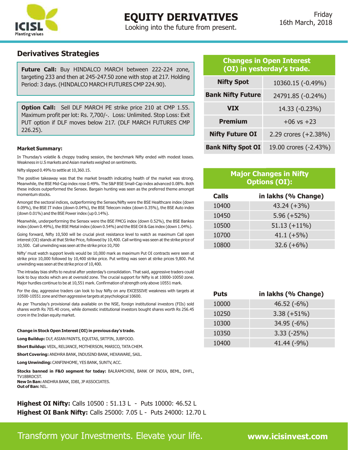

### **EQUITY DERIVATIVES**

Looking into the future from present.

#### **Derivatives Strategies**

**Future Call:** Buy HINDALCO MARCH between 222-224 zone, targeting 233 and then at 245-247.50 zone with stop at 217. Holding Period: 3 days. (HINDALCO MARCH FUTURES CMP 224.90).

**Option Call:** Sell DLF MARCH PE strike price 210 at CMP 1.55. Maximum profit per lot: Rs. 7,700/-. Loss: Unlimited. Stop Loss: Exit PUT option if DLF moves below 217. (DLF MARCH FUTURES CMP 226.25).

#### **Market Summary:**

In Thursday's volatile & choppy trading session, the benchmark Nifty ended with modest losses. Weakness in U.S markets and Asian markets weighed on sentiments.

Nifty slipped 0.49% to settle at 10,360.15.

The positive takeaway was that the market breadth indicating health of the market was strong. Meanwhile, the BSE Mid-Cap index rose 0.49%. The S&P BSE Small-Cap index advanced 0.08%. Both these indices outperformed the Sensex. Bargain hunting was seen as the preferred theme amongst momentum stocks.

Amongst the sectoral indices, outperforming the Sensex/Nifty were the BSE Healthcare index (down 0.09%), the BSE IT index (down 0.04%), the BSE Telecom index (down 0.35%), the BSE Auto index (down 0.01%) and the BSE Power index (up 0.14%).

Meanwhile, underperforming the Sensex were the BSE FMCG index (down 0.52%), the BSE Bankex index (down 0.49%), the BSE Metal index (down 0.54%) and the BSE Oil & Gas index (down 1.04%).

Going forward, Nifty 10,500 will be crucial pivot resistance level to watch as maximum Call open interest (OI) stands at that Strike Price, followed by 10,400. Call writing was seen at the strike price of 10,500. Call unwinding was seen at the strike price 10,700

Nifty' must watch support levels would be 10,000 mark as maximum Put OI contracts were seen at strike price 10,000 followed by 10,400 strike price. Put writing was seen at strike prices 9,800. Put unwinding was seen at the strike price of 10,400.

The intraday bias shifts to neutral after yesterday's consolidation. That said, aggressive traders could look to buy stocks which are at oversold zone. The crucial support for Nifty is at 10000-10050 zone. Major hurdles continue to be at 10,551 mark. Confirmation of strength only above 10551 mark.

For the day, aggressive traders can look to buy Nifty on any EXCESSIVE weakness with targets at 10500-10551 zone and then aggressive targets at psychological 10600.

As per Thursday's provisional data available on the NSE, foreign institutional investors (FIIs) sold shares worth Rs 705.40 crore, while domestic institutional investors bought shares worth Rs 256.45 crore in the Indian equity market.

**Change in Stock Open Interest (OI) in previous day's trade.**

**Long Buildup:** DLF, ASIAN PAINTS, EQUITAS, SRTFIN, JUBFOOD.

**Short Buildup:** VEDL, RELIANCE, MOTHERSON, MARICO, TATA CHEM.

**Short Covering:** ANDHRA BANK, INDUSIND BANK, HEXAWARE, SAIL.

**Long Unwinding:** CANFINHOME, YES BANK, SUNTV, ACC.

**Stocks banned in F&O segment for today:** BALRAMCHINI, BANK OF INDIA, BEML, DHFL,

TV18BRDCST. **New In Ban:** ANDHRA BANK, IDBI, JP ASSOCIATES. **Out of Ban:** NIL.

**Highest OI Nifty:** Calls 10500 : 51.13 L - Puts 10000: 46.52 L **Highest OI Bank Nifty:** Calls 25000: 7.05 L - Puts 24000: 12.70 L

#### **Changes in Open Interest (OI) in yesterday's trade.**

| <b>Nifty Spot</b>         | 10360.15 (-0.49%)      |
|---------------------------|------------------------|
| <b>Bank Nifty Future</b>  | 24791.85 (-0.24%)      |
| <b>VIX</b>                | 14.33 (-0.23%)         |
| <b>Premium</b>            | $+06$ vs $+23$         |
| <b>Nifty Future OI</b>    | 2.29 crores $(+2.38%)$ |
| <b>Bank Nifty Spot OI</b> | 19.00 crores (-2.43%)  |

#### **Major Changes in Nifty Options (OI):**

| <b>Calls</b> | in lakhs (% Change) |
|--------------|---------------------|
| 10400        | $43.24 (+3%)$       |
| 10450        | $5.96 (+52%)$       |
| 10500        | $51.13 (+11\%)$     |
| 10700        | $41.1 (+5%)$        |
| 10800        | $32.6 (+6%)$        |

| <b>Puts</b> | in lakhs (% Change) |
|-------------|---------------------|
| 10000       | $46.52(-6%)$        |
| 10250       | $3.38 (+51\%)$      |
| 10300       | $34.95(-6%)$        |
| 10350       | $3.33(-25%)$        |
| 10400       | 41.44 (-9%)         |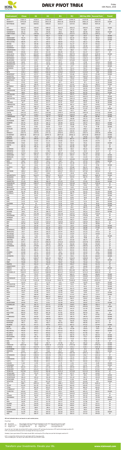

## **DAILY PIVOT TABLE**

Transform your Investments. Elevate your life. **www.icisinvest.com**

#### **All level indicated above are based on cash market prices.**

Pivot Point

- PP : Pivot Point : This is trigger point for weekly buy/sell based on the price range of the previous week. R1 : Resistance one : 1st Resistance over PP. R2 : Resistance two : 2nd Resistance over R1.
- S1: Support one : 1st support after PP. S2 : Support Two : 2nd support after S1.

As per the tool, the trader should take BUY position just above PP and keep the stop loss of PP and the first target would be R1. If R1 is crossed then R2 becomes the next target with the stop loss at R1.

Similarly if price goes below PP the trader should SELL and keep the PP as Stop loss and the first target would be S1.

If S1 is crossed then S2 becomes the next target with the stop loss at S1. This is a trading tool. The key to use of this tool is the use of STOP LOSS.

| <b>Instrument</b>                                           | <b>Close</b>                 | <b>S1</b>                    | <b>S2</b>                     | <b>R1</b>                    | <b>R2</b>                     | 200 Day SMA                   | <b>Reversal Point</b>        | <b>Trend</b>               |
|-------------------------------------------------------------|------------------------------|------------------------------|-------------------------------|------------------------------|-------------------------------|-------------------------------|------------------------------|----------------------------|
| <b>NIFTY</b>                                                | 10360.15                     | 10330.9                      | 10301.65                      | 10404.7                      | 10449.25                      | 10375.45                      | 10158.38                     | UP                         |
| <b>BANKNIFTY</b>                                            | 24791.85                     | 24702.62                     | 24613.38                      | 24910.46                     | 25029.08                      | 24821.23                      | 24814.79                     | <b>DOWN</b>                |
| NIFTYMID50                                                  | 5090.9                       | 5069.92                      | 5048.93                       | 5119.17                      | 5147.43                       | 5098.18                       | 4974.78                      | UP                         |
| ACC                                                         | 1603.15                      | 1593.83                      | 1584.52                       | 1614.73                      | 1626.32                       | 1605.42                       | 1716.95                      | <b>DOWN</b>                |
| ADANIENT                                                    | 167.05                       | 163.35                       | 159.65                        | 170.6                        | 174.15                        | 166.9                         | 149.95                       | UP                         |
| <b>ADANIPORTS</b>                                           | 382.15                       | 379.5                        | 376.85                        | 385.6                        | 389.05                        | 382.95                        | 396.29                       | <b>DOWN</b>                |
| <b>AJANTPHARM</b>                                           | 1379.8                       | 1365.58                      | 1351.37                       | 1396.43                      | 1413.07                       | 1382.22                       | 1364.32                      | UP                         |
| <b>ALBK</b>                                                 | 51                           | 49.63                        | 48.27                         | 51.93                        | 52.87                         | 50.57                         | 69.11                        | <b>DOWN</b>                |
| AMARAJABAT                                                  | 793.75                       | 783.3                        | 772.85                        | 809.6                        | 825.45                        | 799.15                        | 796.22                       | <b>DOWN</b>                |
| <b>ANDHRABANK</b>                                           | 42.95                        | 41.83                        | 40.72                         | 43.73                        | 44.52                         | 42.62                         | 56.14                        | <b>DOWN</b>                |
| APOLLOTYRE                                                  | 266.45                       | 262.73                       | 259.02                        | 269.83                       | 273.22                        | 266.12                        | 254.96                       | UP                         |
| <b>ARVIND</b>                                               | 400.4                        | 395.48                       | 390.57                        | 406.38                       | 412.37                        | 401.47                        | 400.25                       | UP                         |
| <b>ASHOKLEY</b>                                             | 150.55                       | 149.12                       | 147.68                        | 151.82                       | 153.08                        | 150.38                        | 116.47                       | UP                         |
| <b>ASIANPAINT</b>                                           | 1160.8                       | 1140.72                      | 1120.63                       | 1172.32                      | 1183.83                       | 1152.23                       | 1154.3                       | UP                         |
| <b>AUROPHARMA</b>                                           | 572.3                        | 567.6                        | 562.9                         | 579.6                        | 586.9                         | 574.9                         | 684.71                       | <b>DOWN</b>                |
| AXISBANK                                                    | 529.65                       | 525.53                       | 521.42                        | 536.48                       | 543.32                        | 532.37                        | 526.77                       | UP                         |
| <b>BAJAJ-AUTO</b>                                           | 2948.75                      | 2932.87                      | 2916.98                       | 2968.27                      | 2987.78                       | 2952.38                       | 3039.76                      | <b>DOWN</b>                |
| <b>BAJAJFINSV</b><br><b>BAJFINANCE</b>                      | 5034.5<br>1726.25<br>1057.55 | 4989.68<br>1713.53<br>1045.7 | 4944.87<br>1700.82<br>1033.85 | 5109.68<br>1739.43<br>1067.2 | 5184.87<br>1752.62<br>1076.85 | 5064.87<br>1726.72<br>1055.35 | 4987.55<br>1687.56<br>926.77 | UP<br>UP<br>UP             |
| <b>BALKRISIND</b><br><b>BALRAMCHIN</b><br><b>BANKBARODA</b> | 86.95<br>143.75              | 85.37<br>142.12              | 83.78<br>140.48               | 89.47<br>145.82              | 91.98<br>147.88               | 87.88<br>144.18               | 148.16<br>157.67             | <b>DOWN</b><br><b>DOWN</b> |
| <b>BANKINDIA</b>                                            | 103.7                        | 101.85                       | 100                           | 105.7                        | 107.7                         | 103.85                        | 154.55                       | <b>DOWN</b>                |
| <b>BATAINDIA</b>                                            | 710.95                       | 703.18                       | 695.42                        | 717.53                       | 724.12                        | 709.77                        | 686.62                       | UP                         |
| <b>BEL</b>                                                  | 151.3                        | 149.43                       | 147.57                        | 153.73                       | 156.17                        | 151.87                        | 166.31                       | <b>DOWN</b>                |
| <b>BEML</b>                                                 | 1100.3                       | 1080.97                      | 1061.63                       | 1129.87                      | 1159.43                       | 1110.53                       | 1549                         | <b>DOWN</b>                |
| <b>BERGEPAINT</b>                                           | 250.05                       | 247.37                       | 244.68                        | 251.87                       | 253.68                        | 249.18                        | 251.84                       | <b>DOWN</b>                |
| <b>BHARATFIN</b>                                            | 1063.5                       | 1052.62                      | 1041.73                       | 1073.92                      | 1084.33                       | 1063.03                       | 922.15                       | UP                         |
| <b>BHARATFORG</b>                                           | 738.6                        | 733.32                       | 728.03                        | 744.12                       | 749.63                        | 738.83                        | 654.12                       | UP                         |
| <b>BHARTIARTL</b>                                           | 420.45                       | 417.03                       | 413.62                        | 424.08                       | 427.72                        | 420.67                        | 440.57                       | <b>DOWN</b>                |
| <b>BHEL</b>                                                 | 87.05                        | 86.45                        | 85.85                         | 87.7                         | 88.35                         | 87.1                          | 91.04                        | <b>DOWN</b>                |
| <b>BPCL</b>                                                 | 462.05                       | 456.93                       | 451.82                        | 466.33                       | 470.62                        | 461.22                        | 486.25                       | <b>DOWN</b>                |
| <b>BRITANNIA</b>                                            | 4868.25                      | 4821.77                      | 4775.28                       | 4905.37                      | 4942.48                       | 4858.88                       | 4379.03                      | UP                         |
| <b>CANBK</b>                                                | 264.45                       | 259.03                       | 253.62                        | 268.33                       | 272.22                        | 262.92                        | 345.06                       | <b>DOWN</b>                |
| CANFINHOME                                                  | 532.35                       | 521.07                       | 509.78                        | 550.57                       | 568.78                        | 539.28                        | 533.66                       | <b>DOWN</b>                |
| <b>CAPF</b>                                                 | 646.8                        | 643.37                       | 639.93                        | 651.37                       | 655.93                        | 647.93                        | 718.77                       | <b>DOWN</b>                |
| CASTROLIND                                                  | 205.1                        | 203.73                       | 202.37                        | 207.23                       | 209.37                        | 205.87                        | 195.18                       | UP                         |
| <b>CEATLTD</b>                                              | 1606.2                       | 1591.03                      | 1575.87                       | 1617.68                      | 1629.17                       | 1602.52                       | 1762.72                      | <b>DOWN</b>                |
| <b>CENTURYTEX</b>                                           | 1197.05                      | 1184.75                      | 1172.45                       | 1218.6                       | 1240.15                       | 1206.3                        | 1257.17                      | <b>DOWN</b>                |
| <b>CESC</b>                                                 | 970.65                       | 963.23                       | 955.82                        | 976.83                       | 983.02                        | 969.42                        | 991.31                       | <b>DOWN</b>                |
| <b>CGPOWER</b>                                              | 82.7                         | 81.93                        | 81.17                         | 83.33                        | 83.97                         | 82.57                         | 84.45                        | <b>DOWN</b>                |
| <b>CHENNPETRO</b>                                           | 356.65                       | 354.03                       | 351.42                        | 360.88                       | 365.12                        | 358.27                        | 404.62                       | <b>DOWN</b>                |
| <b>CHOLAFIN</b>                                             | 1479.2                       | 1462.15                      | 1445.1                        | 1494.1                       | 1509                          | 1477.05                       | 1216.87                      | UP                         |
| <b>CIPLA</b>                                                | 571.15                       | 566.9                        | 562.65                        | 577.5                        | 583.85                        | 573.25                        | 582.14                       | <b>DOWN</b>                |
| COALINDIA                                                   | 295.5                        | 292.1                        | 288.7                         | 298.9                        | 302.3                         | 295.5                         | 271.55                       | UP                         |
| <b>COLPAL</b>                                               | 1042.35                      | 1034.17                      | 1025.98                       | 1048.37                      | 1054.38                       | 1040.18                       | 1070.06                      | <b>DOWN</b>                |
| <b>CONCOR</b>                                               | 1243.25                      | 1236.6                       | 1229.95                       | 1250.65                      | 1258.05                       | 1244                          | 1254.73                      | <b>DOWN</b>                |
| <b>CUMMINSIND</b>                                           | 783                          | 774.37                       | 765.73                        | 790.82                       | 798.63                        | 782.18                        | 887.86                       | <b>DOWN</b>                |
| <b>DABUR</b>                                                | 325.05                       | 323.82                       | 322.58                        | 326.97                       | 328.88                        | 325.73                        | 321.85                       | UP                         |
| DALMIABHA                                                   | 2869.7                       | 2809.47                      | 2749.23                       | 2922.47                      | 2975.23                       | 2862.23                       | 2802.06                      | UP                         |
| <b>DCBBANK</b>                                              | 163.75                       | 161.93                       | 160.12                        | 165.58                       | 167.42                        | 163.77                        | 186.33                       | <b>DOWN</b>                |
| <b>DHFL</b>                                                 | 515.45                       | 510.67                       | 505.88                        | 522.57                       | 529.68                        | 517.78                        | 535.63                       | <b>DOWN</b>                |
| <b>DISHTV</b>                                               | 69.35                        | 67.92                        | 66.48                         | 71.67                        | 73.98                         | 70.23                         | 77.46                        | <b>DOWN</b>                |
| <b>DIVISLAB</b>                                             | 1084.55                      | 1058.35                      | 1032.15                       | 1108.4                       | 1132.25                       | 1082.2                        | 880.84                       | UP                         |
| <b>DLF</b>                                                  | 225.45                       | 220.68                       | 215.92                        | 228.73                       | 232.02                        | 223.97                        | 206.87                       | UP                         |
| <b>DRREDDY</b>                                              | 2182.75                      | 2167.03                      | 2151.32                       | 2208.43                      | 2234.12                       | 2192.72                       | 2359.38                      | <b>DOWN</b>                |
| <b>EICHERMOT</b>                                            | 28695.55                     | 28572.63                     | 28449.72                      | 28875.83                     | 29056.12                      | 28752.92                      | 29595.87                     | <b>DOWN</b>                |
| <b>EQUITAS</b>                                              | 145.1                        | 141.9                        | 138.7                         | 148.05                       | 151                           | 144.85                        | 152.63                       | <b>DOWN</b>                |
| <b>ESCORTS</b>                                              | 847.3                        | 838.03                       | 828.77                        | 857.23                       | 867.17                        | 847.97                        | 723.3                        | UP                         |
| <b>EXIDEIND</b>                                             | 217.55                       | 214.35                       | 211.15                        | 219.65                       | 221.75                        | 216.45                        | 210.76                       | UP                         |
| <b>FEDERALBNK</b>                                           | 93.65                        | 92.83                        | 92.02                         | 95.03                        | 96.42                         | 94.22                         | 109.94                       | <b>DOWN</b>                |
| <b>FORTIS</b>                                               | 160.25                       | 158.37                       | 156.48                        | 162.47                       | 164.68                        | 160.58                        | 153.41                       | UP                         |
| GAIL                                                        | 450.35                       | 446.25                       | 442.15                        | 456.6                        | 462.85                        | 452.5                         | 421.13                       | UP                         |
| <b>GLENMARK</b>                                             | 553.8                        | 549.2                        | 544.6                         | 559.85                       | 565.9                         | 555.25                        | 604.55                       | <b>DOWN</b>                |
| <b>GMRINFRA</b>                                             | 18.45                        | 18.02                        | 17.58                         | 18.77                        | 19.08                         | 18.33                         | 18.37                        | <b>UP</b>                  |
| <b>GODREJCP</b>                                             | 1072.9                       | 1063.33                      | 1053.77                       | 1087.18                      | 1101.47                       | 1077.62                       | 944.46                       | UP                         |
| <b>GODREJIND</b>                                            | 549.3                        | 545.23                       | 541.17                        | 554.18                       | 559.07                        | 550.12                        | 600.86                       | <b>DOWN</b>                |
| <b>GRANULES</b>                                             | 112.7                        | 110.55                       | 108.4                         | 114.4                        | 116.1                         | 112.25                        | 130.11                       | <b>DOWN</b>                |
| <b>GRASIM</b>                                               | 1107.95                      | 1096.3                       | 1084.65                       | 1125.3                       | 1142.65                       | 1113.65                       | 1123.19                      | <b>DOWN</b>                |
| <b>GSFC</b>                                                 | 126.3                        | 124.75                       | 123.2                         | 128.7                        | 131.1                         | 127.15                        | 136.62                       | <b>DOWN</b>                |
| <b>HAVELLS</b>                                              | 520.75                       | 516.87                       | 512.98                        | 526.17                       | 531.58                        | 522.28                        | 505.77                       | UP                         |
| <b>HCC</b>                                                  | 32.4                         | 32.02                        | 31.63                         | 32.72                        | 33.03                         | 32.33                         | 37.56                        | <b>DOWN</b>                |
| <b>HCLTECH</b>                                              | 959.15                       | 952.07                       | 944.98                        | 969.42                       | 979.68                        | 962.33                        | 880.31                       | UP                         |
| <b>HDFC</b>                                                 | 1830                         | 1822.37                      | 1814.73                       | 1842.67                      | 1855.33                       | 1835.03                       | 1732.45                      | <b>UP</b>                  |
| <b>HDFCBANK</b>                                             | 1880.8                       | 1868.17                      | 1855.53                       | 1890.47                      | 1900.13                       | 1877.83                       | 1804.63                      | UP                         |
| <b>HDIL</b>                                                 | 43.05                        | 41.47                        | 39.88                         | 44.57                        | 46.08                         | 42.98                         | 64.91                        | <b>DOWN</b>                |
| <b>HEROMOTOCO</b>                                           | 3640.8                       | 3618.53                      | 3596.27                       | 3676.53                      | 3712.27                       | 3654.27                       | 3658.76                      | <b>DOWN</b>                |
| <b>HEXAWARE</b>                                             | 380.25                       | 374.1                        | 367.95                        | 388.9                        | 397.55                        | 382.75                        | 295.87                       | UP                         |
| <b>HINDALCO</b>                                             | 224.9                        | 222.9                        | 220.9                         | 227                          | 229.1                         | 225                           | 238.64                       | <b>DOWN</b>                |
| <b>HINDPETRO</b>                                            | 371.55                       | 368.93                       | 366.32                        | 375.53                       | 379.52                        | 372.92                        | 391.48                       | <b>DOWN</b>                |
| <b>HINDUNILVR</b>                                           | 1299.95                      | 1289.47                      | 1278.98                       | 1315.22                      | 1330.48                       | 1304.73                       | 1239.36                      | UP                         |
| <b>HINDZINC</b>                                             | 318.45                       | 315.5                        | 312.55                        | 322.55                       | 326.65                        | 319.6                         | 295.3                        | UP                         |
| <b>IBREALEST</b>                                            | 209.3                        | 206.25                       | 203.2                         | 214.1                        | 218.9                         | 211.05                        | 217.06                       | <b>DOWN</b>                |
| <b>IBULHSGFIN</b>                                           | 1237.95                      | 1227.17                      | 1216.38                       | 1245.37                      | 1252.78                       | 1234.58                       | 1208.62                      | UP                         |
| <b>ICICIBANK</b>                                            | 301.45                       | 299.32                       | 297.18                        | 304.67                       | 307.88                        | 302.53                        | 301.49                       | <b>DOWN</b>                |
| <b>ICICIPRULI</b>                                           | 382.8                        | 380.18                       | 377.57                        | 385.48                       | 388.17                        | 382.87                        | 409.82                       | <b>DOWN</b>                |
| ICIL                                                        | 93.9                         | 92.93                        | 91.97                         | 95.43                        | 96.97                         | 94.47                         | 126.39                       | <b>DOWN</b>                |
| <b>IDBI</b>                                                 | 78.85                        | 76.03                        | 73.22                         | 80.83                        | 82.82                         | 78.02                         | 59.87                        | UP                         |
| <b>IDEA</b>                                                 | 80.15                        | 79.2                         | 78.25                         | 81.65                        | 83.15                         | 80.7                          | 89.11                        | <b>DOWN</b>                |
| <b>IDFC</b>                                                 | 51.25                        | 50.93                        | 50.62                         | 51.63                        | 52.02                         | 51.32                         | 58.4                         | <b>DOWN</b>                |
| <b>IDFCBANK</b>                                             | 50.25                        | 50                           | 49.75                         | 50.55                        | 50.85                         | 50.3                          | 56.53                        | <b>DOWN</b>                |
| <b>IFCI</b>                                                 | 22                           | 21.7                         | 21.4                          | 22.35                        | 22.7                          | 22.05                         | 24.98                        | <b>DOWN</b>                |
| IGL                                                         | 298.3                        | 295.55                       | 292.8                         | 301.5                        | 304.7                         | 298.75                        | 281.09                       | UP                         |
| <b>INDIACEM</b>                                             | 150.75                       | 149.18                       | 147.62                        | 153.33                       | 155.92                        | 151.77                        | 182.92                       | <b>DOWN</b>                |
| <b>INDIANB</b>                                              | 304.6                        | 301.37                       | 298.13                        | 308.47                       | 312.33                        | 305.23                        | 326.67                       | <b>DOWN</b>                |
| <b>INDIGO</b>                                               | 1265.7                       | 1251.88                      | 1238.07                       | 1281.68                      | 1297.67                       | 1267.87                       | 1192.84                      | UP                         |
| <b>INDUSINDBK</b>                                           | 1741.75                      | 1727.17                      | 1712.58                       | 1753.17                      | 1764.58                       | 1738.58                       | 1642                         | UP                         |
| <b>INFIBEAM</b>                                             | 151.7                        | 151.22                       | 150.73                        | 152.52                       | 153.33                        | 152.03                        | 141.76                       | <b>UP</b>                  |
| <b>INFRATEL</b>                                             | 337.9                        | 334.48                       | 331.07                        | 343.08                       | 348.27                        | 339.67                        | 380.55                       | <b>DOWN</b>                |
| <b>INFY</b>                                                 | 1182.5                       | 1173.53                      | 1164.57                       | 1189.93                      | 1197.37                       | 1180.97                       | 986.24                       | UP                         |
| IOC                                                         | 192.05                       | 189.78                       | 187.52                        | 193.78                       | 195.52                        | 191.52                        | 186.68                       | UP                         |
| IRB                                                         | 217.8                        | 215.35                       | 212.9                         | 221.1                        | 224.4                         | 218.65                        | 221.96                       | <b>DOWN</b>                |
| <b>ITC</b>                                                  | 265.55                       | 263.87                       | 262.18                        | 268.57                       | 271.58                        | 266.88                        | 277.69                       | <b>DOWN</b>                |
| <b>JETAIRWAYS</b>                                           | 721.9                        | 714.77                       | 707.63                        | 730.77                       | 739.63                        | 723.63                        | 635                          | <b>UP</b>                  |
| <b>JINDALSTEL</b>                                           | 230.7                        | 228.47                       | 226.23                        | 233.47                       | 236.23                        | 231.23                        | 175.22                       | <b>UP</b>                  |
| <b>JISLJALEQS</b>                                           | 112.3                        | 110.53                       | 108.77                        | 114.13                       | 115.97                        | 112.37                        | 109.59                       | UP                         |
| <b>JPASSOCIAT</b>                                           | 19.2                         | 17.02                        | 14.83                         | 20.42                        | 21.63                         | 18.23                         | 19.7                         | <b>DOWN</b>                |
| <b>JSWENERGY</b>                                            | 78.95                        | 78.07                        | 77.18                         | 79.87                        | 80.78                         | 78.98                         | 76.19                        | UP                         |
| <b>JSWSTEEL</b>                                             | 295.15                       | 292.52                       | 289.88                        | 299.37                       | 303.58                        | 296.73                        | 252.69                       | <b>UP</b>                  |
| <b>JUBLFOOD</b>                                             | 2147.1                       | 2101.57                      | 2056.03                       | 2176.32                      | 2205.53                       | 2130.78                       | 1549.93                      | <b>UP</b>                  |
| <b>JUSTDIAL</b>                                             | 450.65                       | 443.47                       | 436.28                        | 456.87                       | 463.08                        | 449.68                        | 442.68                       | UP                         |
| <b>KOTAKBANK</b>                                            | 1085.65                      | 1078.88                      | 1072.12                       | 1092.18                      | 1098.72                       | 1085.42                       | 1016.14                      | <b>UP</b>                  |
| <b>KPIT</b>                                                 | 231.3                        | 228.27                       | 225.23                        | 233.37                       | 235.43                        | 230.33                        | 151.78                       | UP                         |
| <b>KSCL</b>                                                 | 493.95                       | 488.13                       | 482.32                        | 498.73                       | 503.52                        | 492.92                        | 561.06                       | <b>DOWN</b>                |
| <b>KTKBANK</b>                                              | 123.65                       | 121.4                        | 119.15                        | 125.4                        | 127.15                        | 123.15                        | 152.6                        | <b>DOWN</b>                |
| L&TFH                                                       | 162.05                       | 161.03                       | 160.02                        | 163.48                       | 164.92                        | 162.47                        | 172.84                       | <b>DOWN</b>                |
| <b>LICHSGFIN</b>                                            | 523.2                        | 516.95                       | 510.7                         | 528.7                        | 534.2                         | 522.45                        | 626.53                       | <b>DOWN</b>                |
| LT.                                                         | 1295.1                       | 1288.27                      | 1281.43                       | 1305.77                      | 1316.43                       | 1298.93                       | 1213.37                      | UP                         |
| <b>LUPIN</b>                                                | 776.65                       | 769.63                       | 762.62                        | 787.83                       | 799.02                        | 780.82                        | 961.1                        | <b>DOWN</b>                |
| M&M                                                         | 734.85                       | 730.47                       | 726.08                        | 738.57                       | 742.28                        | 734.18                        | 703.16                       | <b>UP</b>                  |
| M&MFIN                                                      | 435.5                        | 430.03                       | 424.57                        | 442.38                       | 449.27                        | 436.92                        | 421.76                       | UP                         |
| MANAPPURAM                                                  | 107.8                        | 105.4                        | 103                           | 109.35                       | 110.9                         | 106.95                        | 102.54                       | <b>UP</b>                  |
| MARICO                                                      | 301.1                        | 299.73                       | 298.37                        | 303.13                       | 305.17                        | 301.77                        | 315.57                       | <b>DOWN</b>                |
| <b>MARUTI</b>                                               | 8837.55                      | 8800.67                      | 8763.78                       | 8874.72                      | 8911.88                       | 8837.83                       | 8253.06                      | <b>UP</b>                  |
| MCDOWELL-N                                                  | 3189.35                      | 3139.22                      | 3089.08                       | 3222.27                      | 3255.18                       | 3172.13                       | 2898.45                      | UP                         |
| <b>MCX</b>                                                  | 825.1                        | 779.37                       | 733.63                        | 852.67                       | 880.23                        | 806.93                        | 984.69                       | <b>DOWN</b>                |
| <b>MGL</b>                                                  | 1031.35                      | 1017.8                       | 1004.25                       | 1040.2                       | 1049.05                       | 1026.65                       | 1059.01                      | <b>DOWN</b>                |
| <b>MOTHERSUMI</b>                                           | 314.05                       | 311.18                       | 308.32                        | 318.53                       | 323.02                        | 315.67                        | 341.02                       | <b>DOWN</b>                |
| <b>MRF</b>                                                  | 71737.95                     | 71234.29                     | 70730.62                      | 72093.74                     | 72449.52                      | 71590.07                      | 67678.19                     | UP                         |
| <b>MRPL</b>                                                 | 118.25                       | 117.7                        | 117.15                        | 119.1                        | 119.95                        | 118.55                        | 122.64                       | <b>DOWN</b>                |
| <b>MUTHOOTFIN</b>                                           | 397.6                        | 391.4                        | 385.2                         | 404.9                        | 412.2                         | 398.7                         | 443.6                        | <b>DOWN</b>                |
| NATIONALUM                                                  | 65.8                         | 64.27                        | 62.73                         | 66.77                        | 67.73                         | 65.23                         | 75.35                        | <b>DOWN</b>                |
| <b>NBCC</b>                                                 | 198.15                       | 196.5                        | 194.85                        | 200.45                       | 202.75                        | 198.8                         | 221.26                       | <b>DOWN</b>                |
| NCC                                                         | 126.35                       | 125.28                       | 124.22                        | 127.68                       | 129.02                        | 126.62                        | 104.22                       | UP                         |
| <b>NMDC</b>                                                 | 124.3                        | 123.45                       | 122.6                         | 125.45                       | 126.6                         | 124.6                         | 127.1                        | <b>DOWN</b>                |
| <b>NTPC</b>                                                 | 169.9                        | 168.08                       | 166.27                        | 170.93                       | 171.97                        | 169.12                        | 170.24                       | <b>DOWN</b>                |
| <b>OFSS</b>                                                 | 3922.7                       | 3905.13                      | 3887.57                       | 3949.13                      | 3975.57                       | 3931.57                       | 3738.4                       | <b>UP</b>                  |
| OIL                                                         | 337.7                        | 334.33                       | 330.97                        | 343.03                       | 348.37                        | 339.67                        | 328.08                       | <b>UP</b>                  |
| <b>ONGC</b>                                                 | 180.3                        | 178.9                        | 177.5                         | 181.55                       | 182.8                         | 180.15                        | 175.88                       | UP                         |
| <b>ORIENTBANK</b>                                           | 100.85                       | 99.13                        | 97.42                         | 102.58                       | 104.32                        | 100.87                        | 127.74                       | <b>DOWN</b>                |
| <b>PCJEWELLER</b>                                           | 366.1                        | 361.73                       | 357.37                        | 372.88                       | 379.67                        | 368.52                        | 358.13                       | UP                         |
| PEL                                                         | 2450.85                      | 2430.88                      | 2410.92                       | 2474.58                      | 2498.32                       | 2454.62                       | 2735.8                       | <b>DOWN</b>                |
| <b>PETRONET</b>                                             | 237.4                        | 235.72                       | 234.03                        | 239.47                       | 241.53                        | 237.78                        | 236.68                       | UP                         |
| PFC                                                         | 88.05                        | 86.62                        | 85.18                         | 89.12                        | 90.18                         | 87.68                         | 116.78                       | <b>DOWN</b>                |
| PIDILITIND                                                  | 909.55                       | 900.92                       | 892.28                        | 917.82                       | 926.08                        | 909.18                        | 838.1                        | UP                         |
| <b>PNB</b>                                                  | 98.55                        | 97.23                        | 95.92                         | 100.43                       | 102.32                        | 99.12                         | 153.82                       | <b>DOWN</b>                |
| <b>POWERGRID</b>                                            | 194.8                        | 193.82                       | 192.83                        | 195.77                       | 196.73                        | 194.78                        | 204.87                       | <b>DOWN</b>                |
| <b>PVR</b>                                                  | 1312.25                      | 1300.53                      | 1288.82                       | 1328.43                      | 1344.62                       | 1316.72                       | 1370.97                      | <b>DOWN</b>                |
| <b>RAMCOCEM</b>                                             | 750.25                       | 746.2                        | 742.15                        | 758.1                        | 765.95                        | 754.05                        | 715.43                       | UP                         |
| <b>RAYMOND</b>                                              | 942.1                        | 934.2                        | 926.3                         | 953.35                       | 964.6                         | 945.45                        | 887.75                       | UP                         |
| <b>RBLBANK</b>                                              | 476.35                       | 472.13                       | 467.92                        | 479.73                       | 483.12                        | 475.52                        | 514.44                       | <b>DOWN</b>                |
| <b>RCOM</b>                                                 | 23.6                         | 23.25                        | 22.9                          | 24.1                         | 24.6                          | 23.75                         | 21.64                        | UP                         |
| <b>RECLTD</b>                                               | 128.95                       | 127.57                       | 126.18                        | 130.42                       | 131.88                        | 129.03                        | 154.9                        | <b>DOWN</b>                |
| <b>RELCAPITAL</b>                                           | 445.85                       | 440.63                       | 435.42                        | 453.53                       | 461.22                        | 448.32                        | 540.87                       | <b>DOWN</b>                |
| <b>RELIANCE</b>                                             | 911.8                        | 904.72                       | 897.63                        | 924.17                       | 936.53                        | 917.08                        | 850.6                        | <b>UP</b>                  |
| <b>RELINFRA</b>                                             | 449.45                       | 444.1                        | 438.75                        | 457.1                        | 464.75                        | 451.75                        | 483.04                       | <b>DOWN</b>                |
| <b>REPCOHOME</b>                                            | 575.65                       | 561.35                       | 547.05                        | 587.8                        | 599.95                        | 573.5                         | 669.48                       | <b>DOWN</b>                |
| <b>RPOWER</b>                                               | 39.95                        | 39.42                        | 38.88                         | 40.67                        | 41.38                         | 40.13                         | 42.34                        | <b>DOWN</b>                |
| SAIL                                                        | 75.3                         | 72.75                        | 70.2                          | 77.1                         | 78.9                          | 74.55                         | 71.84                        | UP                         |
| <b>SBIN</b>                                                 | 253.7                        | 251.23                       | 248.77                        | 257.48                       | 261.27                        | 255.02                        | 290.83                       | <b>DOWN</b>                |
| <b>SHREECEM</b>                                             | 16815.65                     | 16598                        | 16380.35                      | 17126.65                     | 17437.65                      | 16909                         | 17405.93                     | <b>DOWN</b>                |
| <b>SIEMENS</b>                                              | 1132.6                       | 1120.75                      | 1108.9                        | 1141.95                      | 1151.3                        | 1130.1                        | 1265.16                      | <b>DOWN</b>                |
| <b>SOUTHBANK</b>                                            | 25.65                        | 25.35                        | 25.05                         | 25.9                         | 26.15                         | 25.6                          | 29.46                        | <b>DOWN</b>                |
| <b>SREINFRA</b>                                             | 83.65                        | 81.67                        | 79.68                         | 85.27                        | 86.88                         | 83.28                         | 105.75                       | <b>DOWN</b>                |
| <b>SRF</b>                                                  | 1877.75                      | 1866.27                      | 1854.78                       | 1889.62                      | 1901.48                       | 1878.13                       | 1698.8                       | <b>UP</b>                  |
| <b>SRTRANSFIN</b>                                           | 1460.65                      | 1398.05                      | 1335.45                       | 1495.3                       | 1529.95                       | 1432.7                        | 1181.02                      | UP                         |
| <b>STAR</b>                                                 | 711.55                       | 697.68                       | 683.82                        | 724.33                       | 737.12                        | 710.47                        | 865.38                       | <b>DOWN</b>                |
| <b>SUNPHARMA</b>                                            | 516.45                       | 511.13                       | 505.82                        | 525.38                       | 534.32                        | 520.07                        | 533.39                       | <b>DOWN</b>                |
| <b>SUNTV</b>                                                | 920.7                        | 908.88                       | 897.07                        | 940.73                       | 960.77                        | 928.92                        | 855.23                       | <b>UP</b>                  |
| <b>SUZLON</b>                                               | 11.65                        | 11.48                        | 11.32                         | 11.78                        | 11.92                         | 11.62                         | 15.89                        | <b>DOWN</b>                |
| SYNDIBANK                                                   | 61.2                         | 60.13                        | 59.07                         | 62.08                        | 62.97                         | 61.02                         | 73.82                        | <b>DOWN</b>                |
| <b>TATACHEM</b>                                             | 683.35                       | 678.27                       | 673.18                        | 691.42                       | 699.48                        | 686.33                        | 672.81                       | <b>UP</b>                  |
| <b>TATACOMM</b>                                             | 639.3                        | 635.23                       | 631.17                        | 645.78                       | 652.27                        | 641.72                        | 673.61                       | <b>DOWN</b>                |
| <b>TATAELXSI</b>                                            | 1037.65                      | 1015.07                      | 992.48                        | 1054.12                      | 1070.58                       | 1031.53                       | 897.06                       | UP                         |
| <b>TATAGLOBAL</b>                                           | 279.6                        | 276.43                       | 273.27                        | 283.58                       | 287.57                        | 280.42                        | 228.85                       | UP                         |
| <b>TATAMOTORS</b>                                           | 353.1                        | 350                          | 346.9                         | 357.3                        | 361.5                         | 354.2                         | 415.89                       | <b>DOWN</b>                |
| <b>TATAMTRDVR</b>                                           | 196.15                       | 194.22                       | 192.28                        | 198.67                       | 201.18                        | 196.73                        | 240.49                       | <b>DOWN</b>                |
| <b>TATAPOWER</b>                                            | 80.25                        | 79.77                        | 79.28                         | 80.97                        | 81.68                         | 80.48                         | 84.47                        | <b>DOWN</b>                |
| <b>TATASTEEL</b>                                            | 611.75                       | 606.7                        | 601.65                        | 619.7                        | 627.65                        | 614.65                        | 622                          | <b>DOWN</b>                |
| <b>TCS</b>                                                  | 2869.7                       | 2849.35                      | 2829                          | 2896.3                       | 2922.9                        | 2875.95                       | 2628.52                      | UP                         |
| <b>TECHM</b>                                                | 631.85                       | 621.95                       | 612.05                        | 646.85                       | 661.85                        | 636.95                        | 474.34                       | UP                         |
| <b>TITAN</b>                                                | 872.5                        | 863.08                       | 853.67                        | 878.83                       | 885.17                        | 869.42                        | 690.92                       | UP                         |
| TV18BRDCST                                                  | 67.4                         | 66.53                        | 65.67                         | 68.38                        | 69.37                         | 67.52                         | 46.93                        | UP                         |
| <b>TVSMOTOR</b>                                             | 643.65                       | 638.5                        | 633.35                        | 650.3                        | 656.95                        | 645.15                        | 646.07                       | <b>DOWN</b>                |
| <b>UBL</b>                                                  | 1023.55                      | 1014.3                       | 1005.05                       | 1033.8                       | 1044.05                       | 1024.55                       | 942.03                       | <b>UP</b>                  |
| <b>UJJIVAN</b>                                              | 352.35                       | 347.43                       | 342.52                        | 357.13                       | 361.92                        | 352.22                        | 351.67                       | <b>UP</b>                  |
| <b>UNIONBANK</b>                                            | 101.25                       | 99.8                         | 98.35                         | 103                          | 104.75                        | 101.55                        | 142.48                       | <b>DOWN</b>                |
| <b>UPL</b>                                                  | 721.15                       | 716.53                       | 711.92                        | 726.68                       | 732.22                        | 722.07                        | 791.32                       | <b>DOWN</b>                |
| <b>VEDL</b>                                                 | 316.95                       | 314.37                       | 311.78                        | 320.17                       | 323.38                        | 317.58                        | 302.7                        | UP                         |
| <b>VGUARD</b>                                               | 237.6                        | 234.83                       | 232.07                        | 240.13                       | 242.67                        | 237.37                        | 207.21                       | UP                         |
| <b>VOLTAS</b><br>WIPRO                                      | 640.35<br>293.4<br>777.65    | 635.63<br>289.6<br>759.8     | 630.92<br>285.8               | 644.98<br>299.6              | 649.62<br>305.8               | 640.27<br>295.8<br>785.9      | 559.42<br>289.69<br>697.87   | UP<br>UP<br>UP             |
| <b>WOCKPHARMA</b><br><b>YESBANK</b><br><b>ZEEL</b>          | 311.85<br>570.4              | 308.13<br>566.47             | 741.95<br>304.42<br>562.53    | 803.75<br>318.28<br>576.47   | 829.85<br>324.72<br>582.53    | 314.57<br>572.53              | 327.92<br>544.59             | <b>DOWN</b><br>UP          |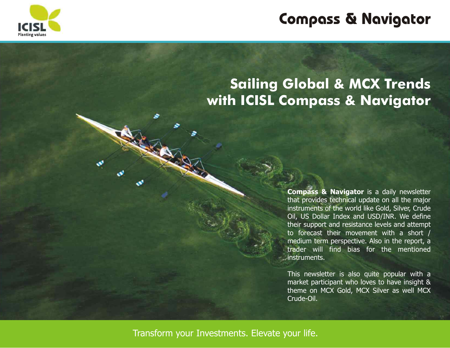

## **Sailing Global & MCX Trends with ICISL Compass & Navigator**

**Compass & Navigator** is a daily newsletter that provides technical update on all the major instruments of the world like Gold, Silver, Crude Oil, US Dollar Index and USD/INR. We define their support and resistance levels and attempt to forecast their movement with a short / medium term perspective. Also in the report, a trader will find bias for the mentioned instruments.

This newsletter is also quite popular with a market participant who loves to have insight & theme on MCX Gold, MCX Silver as well MCX Crude-Oil.

Transform your Investments. Elevate your life.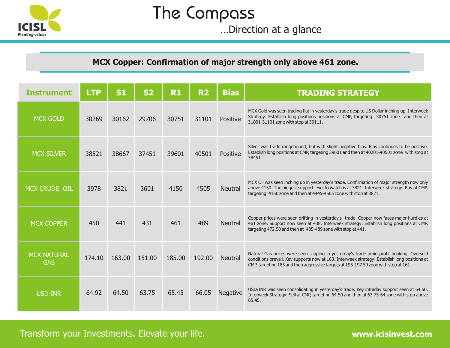

## The Compass

…Direction at a glance

### **MCX Copper: Confirmation of major strength only above 461 zone.**

| <b>Instrument</b>                | <b>LTP</b> | <b>S1</b> | <b>S2</b> | R <sub>1</sub> | R <sub>2</sub> | <b>Bias</b>     | <b>TRADING STRATEGY</b>                                                                                                                                                                                                                                                         |
|----------------------------------|------------|-----------|-----------|----------------|----------------|-----------------|---------------------------------------------------------------------------------------------------------------------------------------------------------------------------------------------------------------------------------------------------------------------------------|
| <b>MCX GOLD</b>                  | 30269      | 30162     | 29706     | 30751          | 31101          | Positive        | MCX Gold was seen trading flat in yesterday's trade despite US Dollar inching up. Interweek<br>Strategy: Establish long positions positions at CMP, targeting 30751 zone and then at<br>31001-31101 zone with stop at 30111.                                                    |
| <b>MCX SILVER</b>                | 38521      | 38667     | 37451     | 39601          | 40501          | Positive        | Silver was trade rangebound, but with slight negative bias. Bias continues to be positive.<br>Establish long positions at CMP, targeting 39601 and then at 40201-40501 zone with stop at<br>38451.                                                                              |
| MCX CRUDE OIL                    | 3978       | 3821      | 3601      | 4150           | 4505           | <b>Neutral</b>  | MCX Oil was seen inching up in yesterday's trade. Confirmation of major strength now only<br>above 4150. The biggest support level to watch is at 3821. Interweek strategy: Buy at CMP,<br>targeting 4150 zone and then at 4445-4505 zone with stop at 3821.                    |
| <b>MCX COPPER</b>                | 450        | 441       | 431       | 461            | 489            | <b>Neutral</b>  | Copper prices were seen drifting in yesterday's trade. Copper now faces major hurdles at<br>461 zone. Support now seen at 438. Interweek strategy: Establish long positions at CMP,<br>targeting 472.50 and then at 485-489 zone with stop at 441.                              |
| <b>MCX NATURAL</b><br><b>GAS</b> | 174.10     | 163.00    | 151.00    | 185.00         | 192.00         | <b>Neutral</b>  | Natural Gas prices were seen slipping in yesterday's trade amid profit booking. Oversold<br>conditions prevail. Key supports now at 163. Interweek strategy: Establish long positions at<br>CMP, targeting 185 and then aggressive targets at 195-197.50 zone with stop at 161. |
| <b>USD-INR</b>                   | 64.92      | 64.50     | 63.75     | 65.45          | 66.05          | <b>Negative</b> | USD/INR was seen consolidating in yesterday's trade. Key intraday support seen at 64.50.<br>Interweek Strategy: Sell at CMP, targeting 64.50 and then at 63.75-64 zone with stop above<br>65.45.                                                                                |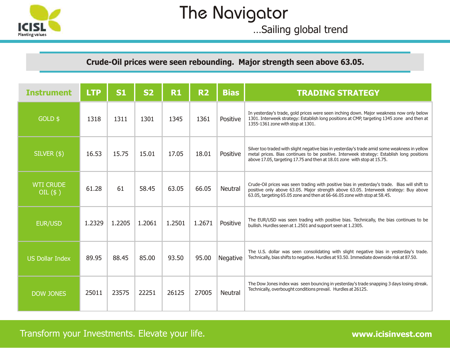

## The Navigator

…Sailing global trend

### **Crude-Oil prices were seen rebounding. Major strength seen above 63.05.**

| <b>Instrument</b>              | <b>LTP</b> | <b>S1</b> | <b>S2</b> | <b>R1</b> | <b>R2</b> | <b>Bias</b>    | <b>TRADING STRATEGY</b>                                                                                                                                                                                                                                               |
|--------------------------------|------------|-----------|-----------|-----------|-----------|----------------|-----------------------------------------------------------------------------------------------------------------------------------------------------------------------------------------------------------------------------------------------------------------------|
| GOLD \$                        | 1318       | 1311      | 1301      | 1345      | 1361      | Positive       | In yesterday's trade, gold prices were seen inching down. Major weakness now only below<br>1301. Interweek strategy: Establish long positions at CMP, targeting 1345 zone and then at<br>1355-1361 zone with stop at 1301.                                            |
| $SILVER($ \$)                  | 16.53      | 15.75     | 15.01     | 17.05     | 18.01     | Positive       | Silver too traded with slight negative bias in yesterday's trade amid some weakness in yellow<br>metal prices. Bias continues to be positive. Interweek strategy: Establish long positions<br>above 17.05, targeting 17.75 and then at 18.01 zone with stop at 15.75. |
| <b>WTI CRUDE</b><br>OIL $(\$)$ | 61.28      | 61        | 58.45     | 63.05     | 66.05     | <b>Neutral</b> | Crude-Oil prices was seen trading with positive bias in yesterday's trade. Bias will shift to<br>positive only above 63.05. Major strength above 63.05. Interweek strategy: Buy above<br>63.05, targeting 65.05 zone and then at 66-66.05 zone with stop at 58.45.    |
| <b>EUR/USD</b>                 | 1.2329     | 1.2205    | 1.2061    | 1.2501    | 1.2671    | Positive       | The EUR/USD was seen trading with positive bias. Technically, the bias continues to be<br>bullish. Hurdles seen at 1.2501 and support seen at 1.2305.                                                                                                                 |
| <b>US Dollar Index</b>         | 89.95      | 88.45     | 85.00     | 93.50     | 95.00     | Negative       | The U.S. dollar was seen consolidating with slight negative bias in yesterday's trade.<br>Technically, bias shifts to negative. Hurdles at 93.50. Immediate downside risk at 87.50.                                                                                   |
| <b>DOW JONES</b>               | 25011      | 23575     | 22251     | 26125     | 27005     | <b>Neutral</b> | The Dow Jones index was seen bouncing in yesterday's trade snapping 3 days losing streak.<br>Technically, overbought conditions prevail. Hurdles at 26125.                                                                                                            |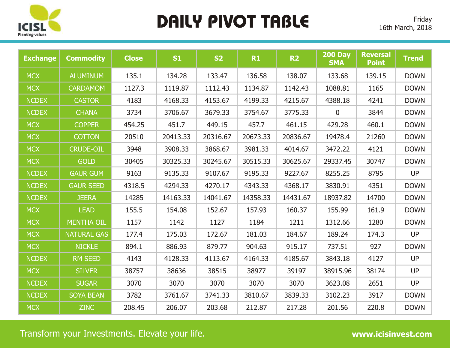

## **DAILY PIVOT TABLE**

| <b>Exchange</b> | <b>Commodity</b>   | <b>Close</b> | S1       | <b>S2</b> | R1       | <b>R2</b> | <b>200 Day</b><br><b>SMA</b> | <b>Reversal</b><br><b>Point</b> | <b>Trend</b> |
|-----------------|--------------------|--------------|----------|-----------|----------|-----------|------------------------------|---------------------------------|--------------|
| <b>MCX</b>      | <b>ALUMINUM</b>    | 135.1        | 134.28   | 133.47    | 136.58   | 138.07    | 133.68                       | 139.15                          | <b>DOWN</b>  |
| <b>MCX</b>      | <b>CARDAMOM</b>    | 1127.3       | 1119.87  | 1112.43   | 1134.87  | 1142.43   | 1088.81                      | 1165                            | <b>DOWN</b>  |
| <b>NCDEX</b>    | <b>CASTOR</b>      | 4183         | 4168.33  | 4153.67   | 4199.33  | 4215.67   | 4388.18                      | 4241                            | <b>DOWN</b>  |
| <b>NCDEX</b>    | <b>CHANA</b>       | 3734         | 3706.67  | 3679.33   | 3754.67  | 3775.33   | $\pmb{0}$                    | 3844                            | <b>DOWN</b>  |
| <b>MCX</b>      | <b>COPPER</b>      | 454.25       | 451.7    | 449.15    | 457.7    | 461.15    | 429.28                       | 460.1                           | <b>DOWN</b>  |
| <b>MCX</b>      | <b>COTTON</b>      | 20510        | 20413.33 | 20316.67  | 20673.33 | 20836.67  | 19478.4                      | 21260                           | <b>DOWN</b>  |
| <b>MCX</b>      | <b>CRUDE-OIL</b>   | 3948         | 3908.33  | 3868.67   | 3981.33  | 4014.67   | 3472.22                      | 4121                            | <b>DOWN</b>  |
| <b>MCX</b>      | <b>GOLD</b>        | 30405        | 30325.33 | 30245.67  | 30515.33 | 30625.67  | 29337.45                     | 30747                           | <b>DOWN</b>  |
| <b>NCDEX</b>    | <b>GAUR GUM</b>    | 9163         | 9135.33  | 9107.67   | 9195.33  | 9227.67   | 8255.25                      | 8795                            | <b>UP</b>    |
| <b>NCDEX</b>    | <b>GAUR SEED</b>   | 4318.5       | 4294.33  | 4270.17   | 4343.33  | 4368.17   | 3830.91                      | 4351                            | <b>DOWN</b>  |
| <b>NCDEX</b>    | <b>JEERA</b>       | 14285        | 14163.33 | 14041.67  | 14358.33 | 14431.67  | 18937.82                     | 14700                           | <b>DOWN</b>  |
| <b>MCX</b>      | <b>LEAD</b>        | 155.5        | 154.08   | 152.67    | 157.93   | 160.37    | 155.99                       | 161.9                           | <b>DOWN</b>  |
| <b>MCX</b>      | <b>MENTHA OIL</b>  | 1157         | 1142     | 1127      | 1184     | 1211      | 1312.66                      | 1280                            | <b>DOWN</b>  |
| <b>MCX</b>      | <b>NATURAL GAS</b> | 177.4        | 175.03   | 172.67    | 181.03   | 184.67    | 189.24                       | 174.3                           | <b>UP</b>    |
| <b>MCX</b>      | <b>NICKLE</b>      | 894.1        | 886.93   | 879.77    | 904.63   | 915.17    | 737.51                       | 927                             | <b>DOWN</b>  |
| <b>NCDEX</b>    | <b>RM SEED</b>     | 4143         | 4128.33  | 4113.67   | 4164.33  | 4185.67   | 3843.18                      | 4127                            | <b>UP</b>    |
| <b>MCX</b>      | <b>SILVER</b>      | 38757        | 38636    | 38515     | 38977    | 39197     | 38915.96                     | 38174                           | <b>UP</b>    |
| <b>NCDEX</b>    | <b>SUGAR</b>       | 3070         | 3070     | 3070      | 3070     | 3070      | 3623.08                      | 2651                            | <b>UP</b>    |
| <b>NCDEX</b>    | <b>SOYA BEAN</b>   | 3782         | 3761.67  | 3741.33   | 3810.67  | 3839.33   | 3102.23                      | 3917                            | <b>DOWN</b>  |
| <b>MCX</b>      | <b>ZINC</b>        | 208.45       | 206.07   | 203.68    | 212.87   | 217.28    | 201.56                       | 220.8                           | <b>DOWN</b>  |